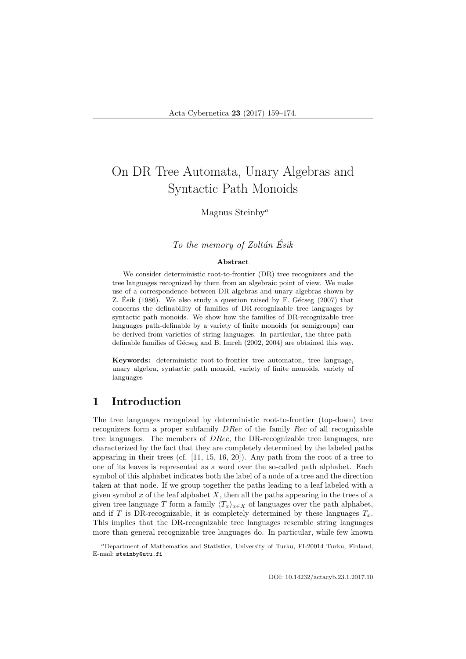# On DR Tree Automata, Unary Algebras and Syntactic Path Monoids

### Magnus Steinby<sup> $a$ </sup>

## To the memory of Zoltán Ésik

### Abstract

We consider deterministic root-to-frontier (DR) tree recognizers and the tree languages recognized by them from an algebraic point of view. We make use of a correspondence between DR algebras and unary algebras shown by Z. Esik (1986). We also study a question raised by F. Gécseg (2007) that concerns the definability of families of DR-recognizable tree languages by syntactic path monoids. We show how the families of DR-recognizable tree languages path-definable by a variety of finite monoids (or semigroups) can be derived from varieties of string languages. In particular, the three pathdefinable families of Gécseg and B. Imreh  $(2002, 2004)$  are obtained this way.

Keywords: deterministic root-to-frontier tree automaton, tree language, unary algebra, syntactic path monoid, variety of finite monoids, variety of languages

# 1 Introduction

The tree languages recognized by deterministic root-to-frontier (top-down) tree recognizers form a proper subfamily DRec of the family Rec of all recognizable tree languages. The members of DRec, the DR-recognizable tree languages, are characterized by the fact that they are completely determined by the labeled paths appearing in their trees (cf. [11, 15, 16, 20]). Any path from the root of a tree to one of its leaves is represented as a word over the so-called path alphabet. Each symbol of this alphabet indicates both the label of a node of a tree and the direction taken at that node. If we group together the paths leading to a leaf labeled with a given symbol  $x$  of the leaf alphabet  $X$ , then all the paths appearing in the trees of a given tree language T form a family  $\langle T_x \rangle_{x \in X}$  of languages over the path alphabet, and if T is DR-recognizable, it is completely determined by these languages  $T_x$ . This implies that the DR-recognizable tree languages resemble string languages more than general recognizable tree languages do. In particular, while few known

<sup>a</sup>Department of Mathematics and Statistics, University of Turku, FI-20014 Turku, Finland, E-mail: steinby@utu.fi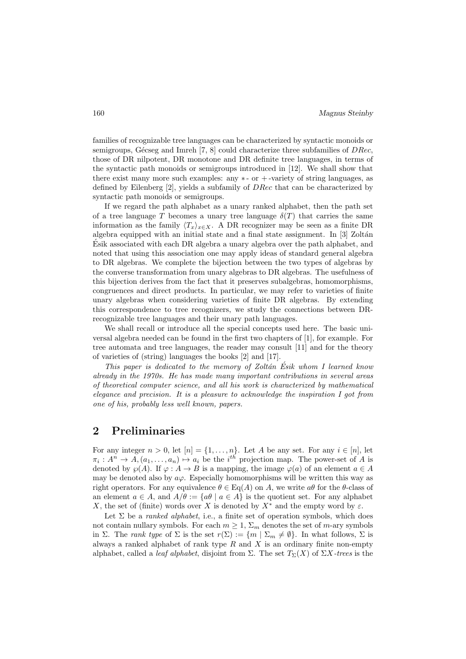families of recognizable tree languages can be characterized by syntactic monoids or semigroups, Gécseg and Imreh  $[7, 8]$  could characterize three subfamilies of DRec, those of DR nilpotent, DR monotone and DR definite tree languages, in terms of the syntactic path monoids or semigroups introduced in [12]. We shall show that there exist many more such examples: any ∗ - or + -variety of string languages, as defined by Eilenberg [2], yields a subfamily of DRec that can be characterized by syntactic path monoids or semigroups.

If we regard the path alphabet as a unary ranked alphabet, then the path set of a tree language T becomes a unary tree language  $\delta(T)$  that carries the same information as the family  $\langle T_x \rangle_{x \in X}$ . A DR recognizer may be seen as a finite DR algebra equipped with an initial state and a final state assignment. In  $[3]$  Zoltán Esik associated with each DR algebra a unary algebra over the path alphabet, and ´ noted that using this association one may apply ideas of standard general algebra to DR algebras. We complete the bijection between the two types of algebras by the converse transformation from unary algebras to DR algebras. The usefulness of this bijection derives from the fact that it preserves subalgebras, homomorphisms, congruences and direct products. In particular, we may refer to varieties of finite unary algebras when considering varieties of finite DR algebras. By extending this correspondence to tree recognizers, we study the connections between DRrecognizable tree languages and their unary path languages.

We shall recall or introduce all the special concepts used here. The basic universal algebra needed can be found in the first two chapters of [1], for example. For tree automata and tree languages, the reader may consult [11] and for the theory of varieties of (string) languages the books [2] and [17].

This paper is dedicated to the memory of Zoltán Esik whom I learned know already in the 1970s. He has made many important contributions in several areas of theoretical computer science, and all his work is characterized by mathematical elegance and precision. It is a pleasure to acknowledge the inspiration I got from one of his, probably less well known, papers.

## 2 Preliminaries

For any integer  $n > 0$ , let  $[n] = \{1, \ldots, n\}$ . Let A be any set. For any  $i \in [n]$ , let  $\pi_i: A^n \to A, (a_1, \ldots, a_n) \mapsto a_i$  be the  $i^{th}$  projection map. The power-set of A is denoted by  $\wp(A)$ . If  $\varphi : A \to B$  is a mapping, the image  $\varphi(a)$  of an element  $a \in A$ may be denoted also by  $a\varphi$ . Especially homomorphisms will be written this way as right operators. For any equivalence  $\theta \in Eq(A)$  on A, we write  $a\theta$  for the  $\theta$ -class of an element  $a \in A$ , and  $A/\theta := \{a\theta \mid a \in A\}$  is the quotient set. For any alphabet X, the set of (finite) words over X is denoted by  $X^*$  and the empty word by  $\varepsilon$ .

Let  $\Sigma$  be a *ranked alphabet*, i.e., a finite set of operation symbols, which does not contain nullary symbols. For each  $m \geq 1$ ,  $\Sigma_m$  denotes the set of m-ary symbols in Σ. The rank type of Σ is the set  $r(\Sigma) := \{m \mid \Sigma_m \neq \emptyset\}$ . In what follows, Σ is always a ranked alphabet of rank type  $R$  and  $X$  is an ordinary finite non-empty alphabet, called a *leaf alphabet*, disjoint from  $\Sigma$ . The set  $T_{\Sigma}(X)$  of  $\Sigma X$ -trees is the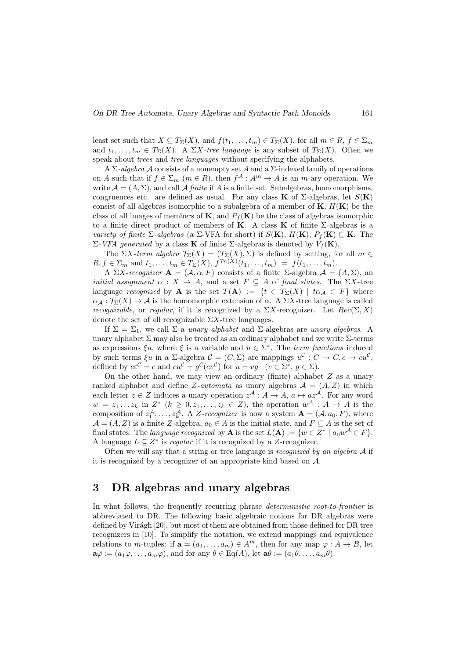least set such that  $X \subseteq T_{\Sigma}(X)$ , and  $f(t_1, \ldots, t_m) \in T_{\Sigma}(X)$ , for all  $m \in R$ ,  $f \in \Sigma_m$ and  $t_1, \ldots, t_m \in T_\Sigma(X)$ . A  $\Sigma X$ -tree language is any subset of  $T_\Sigma(X)$ . Often we speak about *trees* and *tree languages* without specifying the alphabets.

A  $\Sigma$ -algebra A consists of a nonempty set A and a  $\Sigma$ -indexed family of operations on A such that if  $f \in \Sigma_m$   $(m \in R)$ , then  $f^{\mathcal{A}} : A^m \to A$  is an  $m$ -ary operation. We write  $\mathcal{A} = (A, \Sigma)$ , and call  $\mathcal A$  finite if A is a finite set. Subalgebras, homomorphisms, congruences etc. are defined as usual. For any class **K** of  $\Sigma$ -algebras, let  $S(K)$ consist of all algebras isomorphic to a subalgebra of a member of  $\mathbf{K}$ ,  $H(\mathbf{K})$  be the class of all images of members of  $K$ , and  $P_f(K)$  be the class of algebras isomorphic to a finite direct product of members of **K**. A class **K** of finite  $\Sigma$ -algebras is a variety of finite  $\Sigma$ -algebras (a  $\Sigma$ -VFA for short) if  $S(K)$ ,  $H(K)$ ,  $P_f(K) \subseteq K$ . The Σ-VFA generated by a class **K** of finite Σ-algebras is denoted by  $V_f$  (**K**).

The  $\Sigma X$ -term algebra  $\mathcal{T}_{\Sigma}(X) = (T_{\Sigma}(X), \Sigma)$  is defined by setting, for all  $m \in$  $R, f \in \Sigma_m$  and  $t_1, \ldots, t_m \in T_{\Sigma}(X), f^{\mathcal{T}_{\Sigma}(X)}(t_1, \ldots, t_m) = f(t_1, \ldots, t_m).$ 

A ΣX-recognizer  $\mathbf{A} = (\mathcal{A}, \alpha, F)$  consists of a finite Σ-algebra  $\mathcal{A} = (A, \Sigma)$ , and *initial assignment*  $\alpha : X \to A$ , and a set  $F \subseteq A$  of final states. The  $\Sigma X$ -tree language recognized by **A** is the set  $T(A) := \{t \in T_{\Sigma}(X) \mid t\alpha_A \in F\}$  where  $\alpha_A : \mathcal{T}_{\Sigma}(X) \to \mathcal{A}$  is the homomorphic extension of  $\alpha$ . A  $\Sigma X$ -tree language is called *recognizable*, or *regular*, if it is recognized by a  $\Sigma X$ -recognizer. Let  $Rec(\Sigma, X)$ denote the set of all recognizable  $\Sigma X$ -tree languages.

If  $\Sigma = \Sigma_1$ , we call  $\Sigma$  a *unary alphabet* and  $\Sigma$ -algebras are *unary algebras*. A unary alphabet  $\Sigma$  may also be treated as an ordinary alphabet and we write  $\Sigma$ -terms as expressions  $\xi u$ , where  $\xi$  is a variable and  $u \in \Sigma^*$ . The term functions induced by such terms  $\xi u$  in a  $\Sigma$ -algebra  $\mathcal{C} = (C, \Sigma)$  are mappings  $u^{\mathcal{C}} : C \to C, c \mapsto cu^{\mathcal{C}},$ defined by  $c\varepsilon^{\mathcal{C}} = c$  and  $cu^{\mathcal{C}} = g^{\mathcal{C}}(cv^{\mathcal{C}})$  for  $u = vg \ (v \in \Sigma^*, g \in \Sigma)$ .

On the other hand, we may view an ordinary (finite) alphabet  $Z$  as a unary ranked alphabet and define Z-automata as unary algebras  $A = (A, Z)$  in which each letter  $z \in Z$  induces a unary operation  $z^{\mathcal{A}} : A \to A$ ,  $a \mapsto az^{\mathcal{A}}$ . For any word  $w = z_1 \dots z_k$  in  $Z^*$   $(k \geq 0, z_1, \dots, z_k \in Z)$ , the operation  $w^{\mathcal{A}} : A \to A$  is the composition of  $z_1^{\mathcal{A}}, \ldots, z_k^{\mathcal{A}}$ . A Z-recognizer is now a system  $\mathbf{A} = (\mathcal{A}, a_0, F)$ , where  $\mathcal{A} = (A, Z)$  is a finite Z-algebra,  $a_0 \in A$  is the initial state, and  $F \subseteq A$  is the set of final states. The language recognized by **A** is the set  $L(\mathbf{A}) := \{w \in \mathbb{Z}^* \mid a_0 w^{\mathcal{A}} \in F\}.$ A language  $L \subseteq Z^*$  is *regular* if it is recognized by a Z-recognizer.

Often we will say that a string or tree language is *recognized by an algebra*  $A$  if it is recognized by a recognizer of an appropriate kind based on A.

# 3 DR algebras and unary algebras

In what follows, the frequently recurring phrase deterministic root-to-frontier is abbreviated to DR. The following basic algebraic notions for DR algebras were defined by Virágh [20], but most of them are obtained from those defined for DR tree recognizers in [10]. To simplify the notation, we extend mappings and equivalence relations to m-tuples: if  $\mathbf{a} = (a_1, \ldots, a_m) \in A^m$ , then for any map  $\varphi : A \to B$ , let  $\mathbf{a}\overline{\varphi}:=(a_1\varphi,\ldots,a_m\varphi)$ , and for any  $\theta\in\mathrm{Eq}(A)$ , let  $\mathbf{a}\overline{\theta}:=(a_1\theta,\ldots,a_m\theta)$ .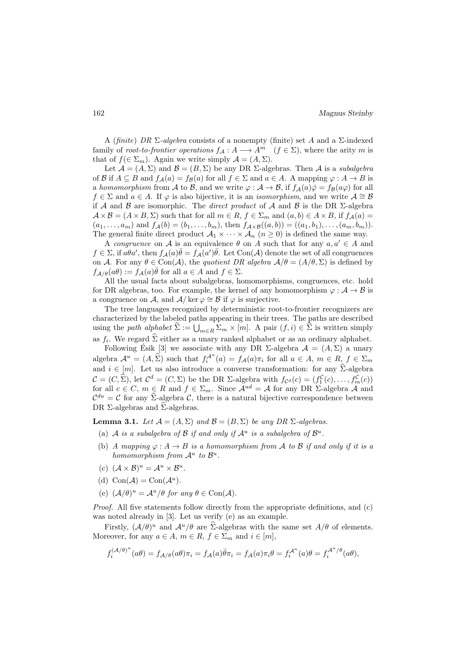A (finite) DR  $\Sigma$ -algebra consists of a nonempty (finite) set A and a  $\Sigma$ -indexed family of root-to-frontier operations  $f_A : A \longrightarrow A^m$   $(f \in \Sigma)$ , where the arity m is that of  $f(\in \Sigma_m)$ . Again we write simply  $\mathcal{A} = (A, \Sigma)$ .

Let  $\mathcal{A} = (A, \Sigma)$  and  $\mathcal{B} = (B, \Sigma)$  be any DR  $\Sigma$ -algebras. Then A is a subalgebra of B if  $A \subseteq B$  and  $f_{\mathcal{A}}(a) = f_{\mathcal{B}}(a)$  for all  $f \in \Sigma$  and  $a \in A$ . A mapping  $\varphi : A \to B$  is a homomorphism from A to B, and we write  $\varphi : A \to B$ , if  $f_A(a)\overline{\varphi} = f_B(a\varphi)$  for all  $f \in \Sigma$  and  $a \in A$ . If  $\varphi$  is also bijective, it is an *isomorphism*, and we write  $\mathcal{A} \cong \mathcal{B}$ if A and B are isomorphic. The direct product of A and B is the DR  $\Sigma$ -algebra  $A \times B = (A \times B, \Sigma)$  such that for all  $m \in R$ ,  $f \in \Sigma_m$  and  $(a, b) \in A \times B$ , if  $f_A(a) =$  $(a_1, \ldots, a_m)$  and  $f_A(b) = (b_1, \ldots, b_m)$ , then  $f_{A \times B}((a, b)) = ((a_1, b_1), \ldots, (a_m, b_m))$ . The general finite direct product  $\mathcal{A}_1 \times \cdots \times \mathcal{A}_n$   $(n \geq 0)$  is defined the same way.

A congruence on A is an equivalence  $\theta$  on A such that for any  $a, a' \in A$  and  $f \in \Sigma$ , if  $a\theta a'$ , then  $f_{\mathcal{A}}(a)\overline{\theta} = f_{\mathcal{A}}(a')\overline{\theta}$ . Let Con( $\mathcal{A}$ ) denote the set of all congruences on A. For any  $\theta \in \text{Con}(\mathcal{A})$ , the quotient DR algebra  $\mathcal{A}/\theta = (A/\theta, \Sigma)$  is defined by  $f_{\mathcal{A}/\theta}(a\theta) := f_{\mathcal{A}}(a)\overline{\theta}$  for all  $a \in A$  and  $f \in \Sigma$ .

All the usual facts about subalgebras, homomorphisms, congruences, etc. hold for DR algebras, too. For example, the kernel of any homomorphism  $\varphi : \mathcal{A} \to \mathcal{B}$  is a congruence on A, and  $\mathcal{A}/\ker \varphi \cong \mathcal{B}$  if  $\varphi$  is surjective.

The tree languages recognized by deterministic root-to-frontier recognizers are characterized by the labeled paths appearing in their trees. The paths are described using the path alphabet  $\Sigma := \bigcup_{m \in R} \Sigma_m \times [m]$ . A pair  $(f, i) \in \Sigma$  is written simply as  $f_i$ . We regard  $\Sigma$  either as a unary ranked alphabet or as an ordinary alphabet.

Following Esik [3] we associate with any DR Σ-algebra  $\mathcal{A} = (A, \Sigma)$  a unary algebra  $\mathcal{A}^u = (A, \hat{\Sigma})$  such that  $f_i^{\mathcal{A}^u}(a) = f_{\mathcal{A}}(a)\pi_i$  for all  $a \in A$ ,  $m \in R$ ,  $f \in \Sigma_m$ and  $i \in [m]$ . Let us also introduce a converse transformation: for any  $\hat{\Sigma}$ -algebra  $\mathcal{C} = (C, \hat{\Sigma})$ , let  $\mathcal{C}^d = (C, \Sigma)$  be the DR  $\Sigma$ -algebra with  $f_{\mathcal{C}^d}(c) = (f_1^{\mathcal{C}}(c), \ldots, f_m^{\mathcal{C}}(c))$ for all  $c \in C$ ,  $m \in R$  and  $f \in \Sigma_m$ . Since  $\mathcal{A}^{ud} = \mathcal{A}$  for any DR  $\Sigma$ -algebra  $\mathcal A$  and  $\mathcal{C}^{du} = \mathcal{C}$  for any  $\hat{\Sigma}$ -algebra  $\mathcal{C}$ , there is a natural bijective correspondence between DR  $\Sigma$ -algebras and  $\Sigma$ -algebras.

**Lemma 3.1.** Let  $\mathcal{A} = (A, \Sigma)$  and  $\mathcal{B} = (B, \Sigma)$  be any DR  $\Sigma$ -algebras.

- (a) A is a subalgebra of B if and only if  $\mathcal{A}^u$  is a subalgebra of  $\mathcal{B}^u$ .
- (b) A mapping  $\varphi : A \to B$  is a homomorphism from A to B if and only if it is a homomorphism from  $\mathcal{A}^u$  to  $\mathcal{B}^u$ .
- (c)  $(\mathcal{A} \times \mathcal{B})^u = \mathcal{A}^u \times \mathcal{B}^u$ .
- (d) Con( $A$ ) = Con( $A^u$ ).
- (e)  $(\mathcal{A}/\theta)^u = \mathcal{A}^u/\theta$  for any  $\theta \in \text{Con}(\mathcal{A})$ .

Proof. All five statements follow directly from the appropriate definitions, and (c) was noted already in [3]. Let us verify (e) as an example.

Firstly,  $(\mathcal{A}/\theta)^u$  and  $\mathcal{A}^u/\theta$  are  $\hat{\Sigma}$ -algebras with the same set  $A/\theta$  of elements. Moreover, for any  $a \in A$ ,  $m \in R$ ,  $f \in \Sigma_m$  and  $i \in [m]$ ,

$$
f_i^{(\mathcal{A}/\theta)^u}(a\theta) = f_{\mathcal{A}/\theta}(a\theta)\pi_i = f_{\mathcal{A}}(a)\bar{\theta}\pi_i = f_{\mathcal{A}}(a)\pi_i\theta = f_i^{\mathcal{A}^u}(a)\theta = f_i^{\mathcal{A}^u/\theta}(a\theta),
$$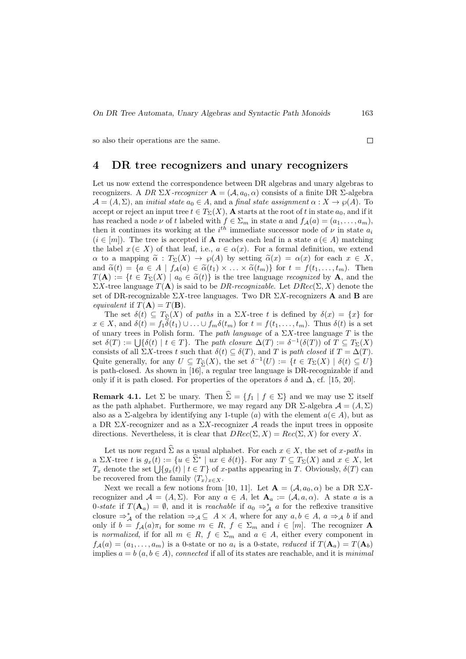so also their operations are the same.

### 4 DR tree recognizers and unary recognizers

Let us now extend the correspondence between DR algebras and unary algebras to recognizers. A DR  $\Sigma X$ -recognizer  $\mathbf{A} = (\mathcal{A}, a_0, \alpha)$  consists of a finite DR  $\Sigma$ -algebra  $\mathcal{A} = (A, \Sigma)$ , an *initial state*  $a_0 \in A$ , and a *final state assignment*  $\alpha : X \to \varphi(A)$ . To accept or reject an input tree  $t \in T_{\Sigma}(X)$ , **A** starts at the root of t in state  $a_0$ , and if it has reached a node  $\nu$  of t labeled with  $f \in \Sigma_m$  in state a and  $f_A(a) = (a_1, \ldots, a_m)$ , then it continues its working at the  $i^{th}$  immediate successor node of  $\nu$  in state  $a_i$  $(i \in [m])$ . The tree is accepted if **A** reaches each leaf in a state  $a \in A$  matching the label  $x \in X$  of that leaf, i.e.,  $a \in \alpha(x)$ . For a formal definition, we extend  $\alpha$  to a mapping  $\tilde{\alpha}: T_{\Sigma}(X) \to \varphi(A)$  by setting  $\tilde{\alpha}(x) = \alpha(x)$  for each  $x \in X$ , and  $\tilde{\alpha}(t) = \{a \in A \mid f_{\mathcal{A}}(a) \in \tilde{\alpha}(t_1) \times \ldots \times \tilde{\alpha}(t_m)\}\$ for  $t = f(t_1, \ldots, t_m)$ . Then  $T(A) := \{t \in T_{\Sigma}(X) \mid a_0 \in \tilde{\alpha}(t)\}\$ is the tree language recognized by A, and the  $\Sigma X$ -tree language  $T(A)$  is said to be *DR-recognizable*. Let  $DRec(\Sigma, X)$  denote the set of DR-recognizable  $\Sigma X$ -tree languages. Two DR  $\Sigma X$ -recognizers **A** and **B** are equivalent if  $T(A) = T(B)$ .

The set  $\delta(t) \subseteq T_{\hat{\Sigma}}(X)$  of paths in a  $\Sigma X$ -tree t is defined by  $\delta(x) = \{x\}$  for  $x \in X$ , and  $\delta(t) = f_1 \overline{\delta(t_1)} \cup ... \cup f_m \delta(t_m)$  for  $t = f(t_1, ..., t_m)$ . Thus  $\delta(t)$  is a set of unary trees in Polish form. The path language of a  $\Sigma X$ -tree language T is the set  $\delta(T) := \bigcup \{ \delta(t) \mid t \in T \}.$  The path closure  $\Delta(T) := \delta^{-1}(\delta(T))$  of  $T \subseteq T_{\Sigma}(X)$ consists of all  $\Sigma X$ -trees t such that  $\delta(t) \subseteq \delta(T)$ , and T is path closed if  $T = \Delta(T)$ . Quite generally, for any  $U \subseteq T_{\Sigma}(X)$ , the set  $\delta^{-1}(U) := \{t \in T_{\Sigma}(X) \mid \delta(t) \subseteq U\}$ is path-closed. As shown in [16], a regular tree language is DR-recognizable if and only if it is path closed. For properties of the operators  $\delta$  and  $\Delta$ , cf. [15, 20].

**Remark 4.1.** Let  $\Sigma$  be unary. Then  $\widehat{\Sigma} = \{f_1 | f \in \Sigma\}$  and we may use  $\Sigma$  itself as the path alphabet. Furthermore, we may regard any DR  $\Sigma$ -algebra  $\mathcal{A} = (A, \Sigma)$ also as a  $\Sigma$ -algebra by identifying any 1-tuple (a) with the element  $a(\in A)$ , but as a DR  $\Sigma X$ -recognizer and as a  $\Sigma X$ -recognizer A reads the input trees in opposite directions. Nevertheless, it is clear that  $DRec(\Sigma, X) = Rec(\Sigma, X)$  for every X.

Let us now regard  $\hat{\Sigma}$  as a usual alphabet. For each  $x \in X$ , the set of x-paths in a  $\Sigma X$ -tree t is  $g_x(t) := \{u \in \widehat{\Sigma}^* \mid ux \in \delta(t)\}.$  For any  $T \subseteq T_{\Sigma}(X)$  and  $x \in X$ , let  $T_x$  denote the set  $\bigcup \{g_x(t) \mid t \in T\}$  of x-paths appearing in T. Obviously,  $\delta(T)$  can be recovered from the family  $\langle T_x \rangle_{x \in X}$ .

Next we recall a few notions from [10, 11]. Let  $\mathbf{A} = (\mathcal{A}, a_0, \alpha)$  be a DR  $\Sigma X$ recognizer and  $\mathcal{A} = (A, \Sigma)$ . For any  $a \in A$ , let  $\mathbf{A}_a := (\mathcal{A}, a, \alpha)$ . A state a is a 0-state if  $T(\mathbf{A}_a) = \emptyset$ , and it is reachable if  $a_0 \Rightarrow_A^* a$  for the reflexive transitive closure  $\Rightarrow_{\mathcal{A}}^*$  of the relation  $\Rightarrow_{\mathcal{A}} \subseteq A \times A$ , where for any  $a, b \in A$ ,  $a \Rightarrow_{\mathcal{A}} b$  if and only if  $b = f_{\mathcal{A}}(a)\pi_i$  for some  $m \in R$ ,  $f \in \Sigma_m$  and  $i \in [m]$ . The recognizer **A** is normalized, if for all  $m \in R$ ,  $f \in \Sigma_m$  and  $a \in A$ , either every component in  $f_{\mathcal{A}}(a)=(a_1,\ldots,a_m)$  is a 0-state or no  $a_i$  is a 0-state, reduced if  $T(\mathbf{A}_a)=T(\mathbf{A}_b)$ implies  $a = b$   $(a, b \in A)$ , connected if all of its states are reachable, and it is minimal

 $\Box$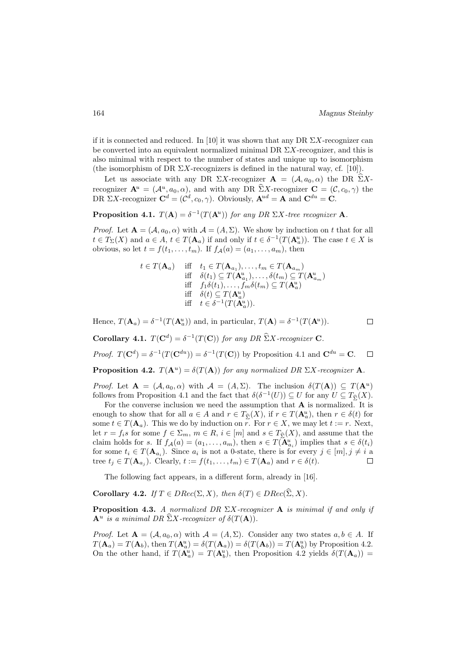if it is connected and reduced. In [10] it was shown that any DR  $\Sigma X$ -recognizer can be converted into an equivalent normalized minimal DR  $\Sigma X$ -recognizer, and this is also minimal with respect to the number of states and unique up to isomorphism (the isomorphism of DR  $\Sigma X$ -recognizers is defined in the natural way, cf. [10]).

Let us associate with any DR  $\Sigma X$ -recognizer  $\mathbf{A} = (A, a_0, \alpha)$  the DR  $\widehat{\Sigma} X$ recognizer  $\mathbf{A}^u = (\mathcal{A}^u, a_0, \alpha)$ , and with any DR  $\hat{\Sigma}X$ -recognizer  $\mathbf{C} = (\mathcal{C}, c_0, \gamma)$  the DR  $\Sigma X$ -recognizer  $\mathbf{C}^d = (\mathcal{C}^d, c_0, \gamma)$ . Obviously,  $\mathbf{A}^{ud} = \mathbf{A}$  and  $\mathbf{C}^{du} = \mathbf{C}$ .

**Proposition 4.1.**  $T(A) = \delta^{-1}(T(A^u))$  for any DR  $\Sigma X$ -tree recognizer A.

*Proof.* Let  $A = (A, a_0, \alpha)$  with  $A = (A, \Sigma)$ . We show by induction on t that for all  $t \in T_{\Sigma}(X)$  and  $a \in A$ ,  $t \in T(\mathbf{A}_a)$  if and only if  $t \in \delta^{-1}(T(\mathbf{A}_a^u))$ . The case  $t \in X$  is obvious, so let  $t = f(t_1, \ldots, t_m)$ . If  $f_{\mathcal{A}}(a) = (a_1, \ldots, a_m)$ , then

$$
t \in T(\mathbf{A}_a) \quad \text{iff} \quad t_1 \in T(\mathbf{A}_{a_1}), \dots, t_m \in T(\mathbf{A}_{a_m})
$$
\n
$$
\text{iff} \quad \delta(t_1) \subseteq T(\mathbf{A}_{a_1}^u), \dots, \delta(t_m) \subseteq T(\mathbf{A}_{a_m}^u)
$$
\n
$$
\text{iff} \quad f_1 \delta(t_1), \dots, f_m \delta(t_m) \subseteq T(\mathbf{A}_{a}^u)
$$
\n
$$
\text{iff} \quad \delta(t) \subseteq T(\mathbf{A}_{a}^u)
$$
\n
$$
\text{iff} \quad t \in \delta^{-1}(T(\mathbf{A}_{a}^u)).
$$

Hence,  $T(\mathbf{A}_a) = \delta^{-1}(T(\mathbf{A}_a^u))$  and, in particular,  $T(\mathbf{A}) = \delta^{-1}(T(\mathbf{A}^u)).$ 

**Corollary 4.1.**  $T(\mathbf{C}^d) = \delta^{-1}(T(\mathbf{C}))$  for any DR  $\widehat{\Sigma}X$ -recognizer **C**.

*Proof.*  $T(\mathbf{C}^d) = \delta^{-1}(T(\mathbf{C}^{du})) = \delta^{-1}(T(\mathbf{C}))$  by Proposition 4.1 and  $\mathbf{C}^{du} = \mathbf{C}$ .  $\Box$ 

**Proposition 4.2.**  $T(A^u) = \delta(T(A))$  for any normalized DR  $\Sigma X$ -recognizer A.

*Proof.* Let  $A = (A, a_0, \alpha)$  with  $A = (A, \Sigma)$ . The inclusion  $\delta(T(A)) \subseteq T(A^u)$ follows from Proposition 4.1 and the fact that  $\delta(\delta^{-1}(U)) \subseteq U$  for any  $U \subseteq T_{\Sigma}(X)$ .

For the converse inclusion we need the assumption that A is normalized. It is enough to show that for all  $a \in A$  and  $r \in T_{\hat{\Sigma}}(X)$ , if  $r \in T(\mathbf{A}^u)$ , then  $r \in \delta(t)$  for some  $t \in T(\mathbf{A}_a)$ . This we do by induction on r. For  $r \in X$ , we may let  $t := r$ . Next, let  $r = f_i s$  for some  $f \in \Sigma_m$ ,  $m \in R$ ,  $i \in [m]$  and  $s \in T_{\hat{\Sigma}}(X)$ , and assume that the claim holds for s. If  $f_{\mathcal{A}}(a) = (a_1, \ldots, a_m)$ , then  $s \in T(\mathbf{A}_{a_i}^u)$  implies that  $s \in \delta(t_i)$ for some  $t_i \in T(\mathbf{A}_{a_i})$ . Since  $a_i$  is not a 0-state, there is for every  $j \in [m], j \neq i$  a tree  $t_j \in T(\mathbf{A}_{a_j})$ . Clearly,  $t := f(t_1, \ldots, t_m) \in T(\mathbf{A}_a)$  and  $r \in \delta(t)$ .  $\Box$ 

The following fact appears, in a different form, already in [16].

Corollary 4.2. If  $T \in DRec(\Sigma, X)$ , then  $\delta(T) \in DRec(\widehat{\Sigma}, X)$ .

**Proposition 4.3.** A normalized DR  $\Sigma X$ -recognizer A is minimal if and only if  $\mathbf{A}^u$  is a minimal DR  $\hat{\Sigma}X$ -recognizer of  $\delta(T(\mathbf{A})).$ 

*Proof.* Let  $A = (A, a_0, \alpha)$  with  $A = (A, \Sigma)$ . Consider any two states  $a, b \in A$ . If  $T(\mathbf{A}_a) = T(\mathbf{A}_b)$ , then  $T(\mathbf{A}_a^u) = \delta(T(\mathbf{A}_a)) = \delta(T(\mathbf{A}_b)) = T(\mathbf{A}_b^u)$  by Proposition 4.2. On the other hand, if  $T(\mathbf{A}_a^u) = T(\mathbf{A}_b^u)$ , then Proposition 4.2 yields  $\delta(T(\mathbf{A}_a))$  =

 $\Box$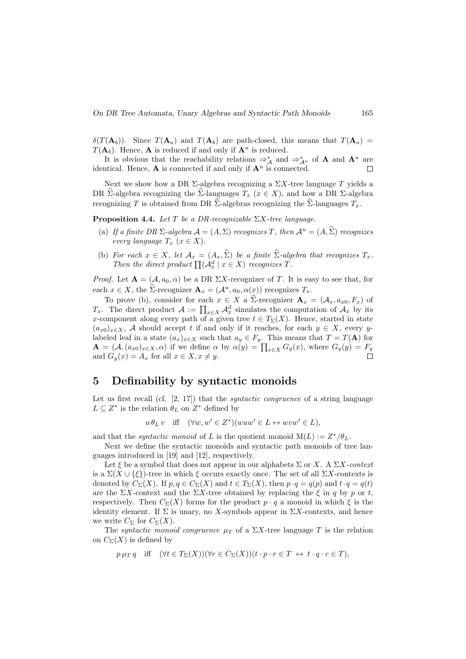$\delta(T(\mathbf{A}_b))$ . Since  $T(\mathbf{A}_a)$  and  $T(\mathbf{A}_b)$  are path-closed, this means that  $T(\mathbf{A}_a)$  =  $T(\mathbf{A}_b)$ . Hence, **A** is reduced if and only if  $\mathbf{A}^u$  is reduced.

It is obvious that the reachability relations  $\Rightarrow_{\mathcal{A}}^*$  and  $\Rightarrow_{\mathcal{A}^u}^*$  of **A** and  $\mathbf{A}^u$  are identical. Hence,  $\bf{A}$  is connected if and only if  ${\bf A}^u$  is connected.

Next we show how a DR  $\Sigma$ -algebra recognizing a  $\Sigma X$ -tree language T yields a DR  $\widehat{\Sigma}$ -algebra recognizing the  $\widehat{\Sigma}$ -languages  $T_x$  ( $x \in X$ ), and how a DR  $\Sigma$ -algebra recognizing T is obtained from DR  $\widehat{\Sigma}$ -algebras recognizing the  $\widehat{\Sigma}$ -languages  $T_x$ .

**Proposition 4.4.** Let T be a DR-recognizable  $\Sigma X$ -tree language.

- (a) If a finite DR  $\Sigma$ -algebra  $\mathcal{A} = (A, \Sigma)$  recognizes T, then  $\mathcal{A}^u = (A, \widehat{\Sigma})$  recognizes every language  $T_x$   $(x \in X)$ .
- (b) For each  $x \in X$ , let  $\mathcal{A}_x = (A_x, \Sigma)$  be a finite  $\Sigma$ -algebra that recognizes  $T_x$ .<br>Then the direct product  $\prod_{i=1}^d (A_x^d \mid x \in X)$  recognizes  $T$ .

*Proof.* Let  $A = (A, a_0, \alpha)$  be a DR  $\Sigma X$ -recognizer of T. It is easy to see that, for each  $x \in X$ , the  $\hat{\Sigma}$ -recognizer  $\mathbf{A}_x = (\mathcal{A}^u, a_0, \alpha(x))$  recognizes  $T_x$ .

To prove (b), consider for each  $x \in X$  a  $\hat{\Sigma}$ -recognizer  $\mathbf{A}_x = (\mathcal{A}_x, a_{x0}, F_x)$  of  $T_x$ . The direct product  $\mathcal{A} := \prod_{x \in X} \mathcal{A}_x^d$  simulates the computation of  $\mathcal{A}_x$  by its x-component along every path of a given tree  $t \in T_{\Sigma}(X)$ . Hence, started in state  $(a_{x0})_{x\in X}$ , A should accept t if and only if it reaches, for each  $y \in X$ , every ylabeled leaf in a state  $(a_x)_{x\in X}$  such that  $a_y \in F_y$ . This means that  $T = T(A)$  for  $\mathbf{A} = (\mathcal{A}, (a_{x0})_{x \in X}, \alpha)$  if we define  $\alpha$  by  $\alpha(y) = \prod_{x \in X} G_y(x)$ , where  $G_y(y) = F_y$ and  $G_y(x) = A_x$  for all  $x \in X, x \neq y$ .

# 5 Definability by syntactic monoids

Let us first recall (cf.  $[2, 17]$ ) that the *syntactic congruence* of a string language  $L \subseteq Z^*$  is the relation  $\theta_L$  on  $Z^*$  defined by

$$
u \theta_L v \quad \text{iff} \quad (\forall w, w' \in Z^*)(wuw' \in L \leftrightarrow wvw' \in L),
$$

and that the *syntactic monoid* of L is the quotient monoid  $M(L) := Z^*/\theta_L$ .

Next we define the syntactic monoids and syntactic path monoids of tree languages introduced in [19] and [12], respectively.

Let  $\xi$  be a symbol that does not appear in our alphabets  $\Sigma$  or X. A  $\Sigma X$ -context is a  $\Sigma(X \cup \{\xi\})$ -tree in which  $\xi$  occurs exactly once. The set of all  $\Sigma X$ -contexts is denoted by  $C_{\Sigma}(X)$ . If  $p, q \in C_{\Sigma}(X)$  and  $t \in T_{\Sigma}(X)$ , then  $p \cdot q = q(p)$  and  $t \cdot q = q(t)$ are the  $\Sigma X$ -context and the  $\Sigma X$ -tree obtained by replacing the  $\xi$  in q by p or t, respectively. Then  $C_{\Sigma}(X)$  forms for the product  $p \cdot q$  a monoid in which  $\xi$  is the identity element. If  $\Sigma$  is unary, no X-symbols appear in  $\Sigma X$ -contexts, and hence we write  $C_{\Sigma}$  for  $C_{\Sigma}(X)$ .

The syntactic monoid congruence  $\mu$ <sup>T</sup> of a  $\Sigma X$ -tree language T is the relation on  $C_{\Sigma}(X)$  is defined by

 $p \mu_T q$  iff  $(\forall t \in T_{\Sigma}(X))(\forall r \in C_{\Sigma}(X))(t \cdot p \cdot r \in T \leftrightarrow t \cdot q \cdot r \in T),$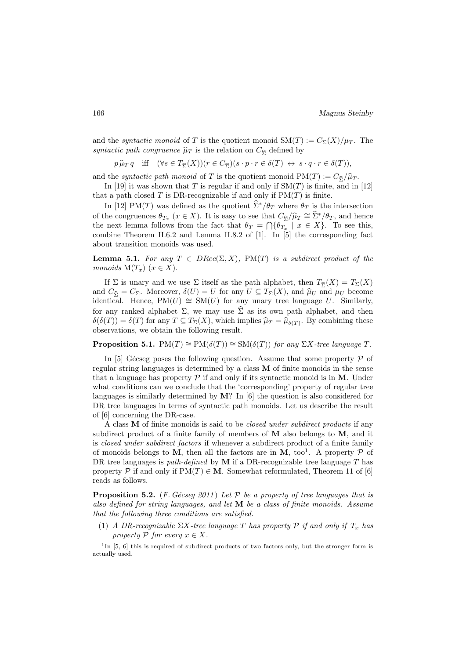and the *syntactic monoid* of T is the quotient monoid  $SM(T) := C_{\Sigma}(X)/\mu_T$ . The syntactic path congruence  $\hat{\mu}_T$  is the relation on  $C_{\hat{\Sigma}}$  defined by

 $p \,\widehat{\mu}_T \, q$  iff  $(\forall s \in T_{\widehat{\Sigma}}(X))(r \in C_{\widehat{\Sigma}})(s \cdot p \cdot r \in \delta(T) \leftrightarrow s \cdot q \cdot r \in \delta(T)),$ 

and the syntactic path monoid of T is the quotient monoid  $PM(T) := C_{\widehat{\Sigma}}/\widehat{\mu}_T$ .

In [19] it was shown that T is regular if and only if  $SM(T)$  is finite, and in [12] that a path closed  $T$  is DR-recognizable if and only if  $PM(T)$  is finite.

In [12] PM(T) was defined as the quotient  $\hat{\Sigma}^*/\theta_T$  where  $\theta_T$  is the intersection of the congruences  $\theta_{T_x}$  ( $x \in X$ ). It is easy to see that  $C_{\hat{\Sigma}}/\hat{\mu}_T \cong \hat{\Sigma}^*/\theta_T$ , and hence the next lemma follows from the fact that  $\theta_T = \bigcap \{\theta_{T_x} \mid x \in X\}$ . To see this, combine Theorem II.6.2 and Lemma II.8.2 of [1]. In [5] the corresponding fact about transition monoids was used.

**Lemma 5.1.** For any  $T \in DRec(\Sigma, X)$ , PM(T) is a subdirect product of the monoids  $M(T_x)$   $(x \in X)$ .

If  $\Sigma$  is unary and we use  $\Sigma$  itself as the path alphabet, then  $T_{\hat{\Sigma}}(X) = T_{\Sigma}(X)$ and  $C_{\widehat{\Sigma}} = C_{\Sigma}$ . Moreover,  $\delta(U) = U$  for any  $U \subseteq T_{\Sigma}(X)$ , and  $\widehat{\mu}_U$  and  $\mu_U$  become identical. Hence, PM(U)  $\cong$  SM(U) for any unary tree language U. Similarly, for any ranked alphabet  $\Sigma$ , we may use  $\widehat{\Sigma}$  as its own path alphabet, and then  $\delta(\delta(T)) = \delta(T)$  for any  $T \subseteq T_{\Sigma}(X)$ , which implies  $\hat{\mu}_T = \hat{\mu}_{\delta(T)}$ . By combining these observations, we obtain the following result.

**Proposition 5.1.** PM(T)  $\cong$  PM( $\delta(T)$ )  $\cong$  SM( $\delta(T)$ ) for any  $\Sigma X$ -tree language T.

In [5] Gécseg poses the following question. Assume that some property  $P$  of regular string languages is determined by a class M of finite monoids in the sense that a language has property  $\mathcal P$  if and only if its syntactic monoid is in M. Under what conditions can we conclude that the 'corresponding' property of regular tree languages is similarly determined by  $M$ ? In [6] the question is also considered for DR tree languages in terms of syntactic path monoids. Let us describe the result of [6] concerning the DR-case.

A class M of finite monoids is said to be closed under subdirect products if any subdirect product of a finite family of members of  $M$  also belongs to  $M$ , and it is closed under subdirect factors if whenever a subdirect product of a finite family of monoids belongs to M, then all the factors are in M, too<sup>1</sup>. A property  $P$  of DR tree languages is *path-defined* by  $M$  if a DR-recognizable tree language  $T$  has property P if and only if  $PM(T) \in M$ . Somewhat reformulated, Theorem 11 of [6] reads as follows.

**Proposition 5.2.** (*F. Gécseg 2011*) Let  $P$  be a property of tree languages that is also defined for string languages, and let M be a class of finite monoids. Assume that the following three conditions are satisfied.

(1) A DR-recognizable  $\Sigma X$ -tree language T has property P if and only if  $T_x$  has property  $P$  for every  $x \in X$ .

<sup>&</sup>lt;sup>1</sup>In [5, 6] this is required of subdirect products of two factors only, but the stronger form is actually used.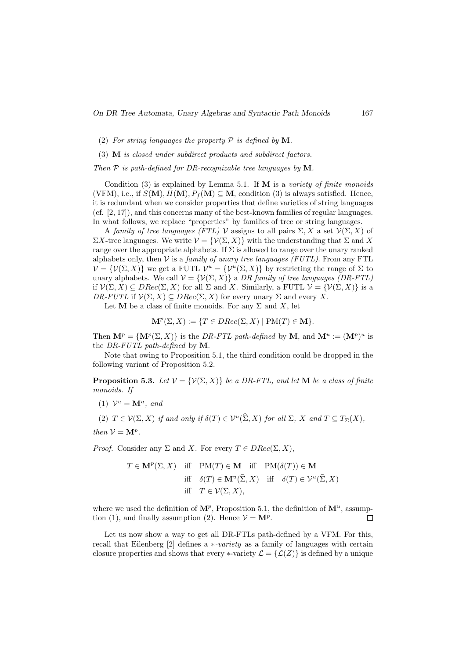- (2) For string languages the property  $P$  is defined by M.
- (3) M is closed under subdirect products and subdirect factors.

Then  $P$  is path-defined for DR-recognizable tree languages by  $M$ .

Condition  $(3)$  is explained by Lemma 5.1. If M is a variety of finite monoids (VFM), i.e., if  $S(M), H(M), P_f(M) \subseteq M$ , condition (3) is always satisfied. Hence, it is redundant when we consider properties that define varieties of string languages (cf. [2, 17]), and this concerns many of the best-known families of regular languages. In what follows, we replace "properties" by families of tree or string languages.

A family of tree languages (FTL) V assigns to all pairs  $\Sigma$ , X a set  $V(\Sigma, X)$  of  $\Sigma X$ -tree languages. We write  $\mathcal{V} = {\mathcal{V}(\Sigma, X)}$  with the understanding that  $\Sigma$  and X range over the appropriate alphabets. If  $\Sigma$  is allowed to range over the unary ranked alphabets only, then  $V$  is a *family of unary tree languages (FUTL)*. From any FTL  $\mathcal{V} = {\mathcal{V}(\Sigma, X)}$  we get a FUTL  $\mathcal{V}^u = {\mathcal{V}^u(\Sigma, X)}$  by restricting the range of  $\Sigma$  to unary alphabets. We call  $V = \{V(\Sigma, X)\}\$ a DR family of tree languages (DR-FTL) if  $\mathcal{V}(\Sigma, X) \subseteq DRec(\Sigma, X)$  for all  $\Sigma$  and X. Similarly, a FUTL  $\mathcal{V} = {\mathcal{V}(\Sigma, X)}$  is a  $DR-FUTL$  if  $\mathcal{V}(\Sigma, X) \subseteq DRec(\Sigma, X)$  for every unary  $\Sigma$  and every X.

Let **M** be a class of finite monoids. For any  $\Sigma$  and X, let

$$
\mathbf{M}^p(\Sigma, X) := \{ T \in DRec(\Sigma, X) \mid PM(T) \in \mathbf{M} \}.
$$

Then  $\mathbf{M}^p = {\mathbf{M}^p(\Sigma, X)}$  is the *DR-FTL path-defined* by **M**, and  $\mathbf{M}^u := (\mathbf{M}^p)^u$  is the DR-FUTL path-defined by M.

Note that owing to Proposition 5.1, the third condition could be dropped in the following variant of Proposition 5.2.

**Proposition 5.3.** Let  $V = \{V(\Sigma, X)\}\$  be a DR-FTL, and let M be a class of finite monoids. If

(1)  $\mathcal{V}^u = \mathbf{M}^u$ , and

(2)  $T \in \mathcal{V}(\Sigma, X)$  if and only if  $\delta(T) \in \mathcal{V}^u(\widehat{\Sigma}, X)$  for all  $\Sigma$ , X and  $T \subseteq T_{\Sigma}(X)$ ,

then  $V = \mathbf{M}^p$ .

*Proof.* Consider any  $\Sigma$  and X. For every  $T \in DRec(\Sigma, X)$ ,

$$
T \in \mathbf{M}^p(\Sigma, X) \quad \text{iff} \quad \text{PM}(T) \in \mathbf{M} \quad \text{iff} \quad \text{PM}(\delta(T)) \in \mathbf{M}
$$
\n
$$
\text{iff} \quad \delta(T) \in \mathbf{M}^u(\widehat{\Sigma}, X) \quad \text{iff} \quad \delta(T) \in \mathcal{V}^u(\widehat{\Sigma}, X)
$$
\n
$$
\text{iff} \quad T \in \mathcal{V}(\Sigma, X),
$$

where we used the definition of  $\mathbf{M}^p$ , Proposition 5.1, the definition of  $\mathbf{M}^u$ , assumption (1), and finally assumption (2). Hence  $\mathcal{V} = \mathbf{M}^p$ .  $\Box$ 

Let us now show a way to get all DR-FTLs path-defined by a VFM. For this, recall that Eilenberg [2] defines a ∗-variety as a family of languages with certain closure properties and shows that every  $\ast$ -variety  $\mathcal{L} = \{ \mathcal{L}(Z) \}$  is defined by a unique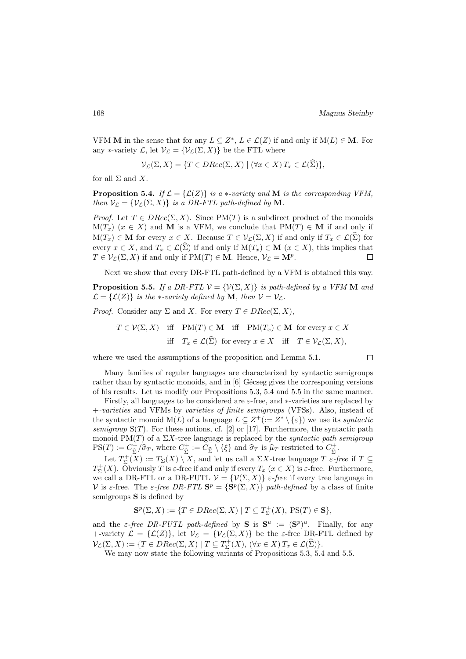VFM **M** in the sense that for any  $L \subseteq Z^*$ ,  $L \in \mathcal{L}(Z)$  if and only if  $M(L) \in M$ . For any ∗-variety  $\mathcal{L}$ , let  $\mathcal{V}_{\mathcal{L}} = {\mathcal{V}_{\mathcal{L}}(\Sigma, X)}$  be the FTL where

$$
\mathcal{V}_{\mathcal{L}}(\Sigma, X) = \{ T \in DRec(\Sigma, X) \mid (\forall x \in X) \, T_x \in \mathcal{L}(\Sigma) \},
$$

for all  $\Sigma$  and  $X$ .

**Proposition 5.4.** If  $\mathcal{L} = \{ \mathcal{L}(Z) \}$  is a  $\ast$ -variety and M is the corresponding VFM, then  $V_c = \{V_c(\Sigma, X)\}\$ is a DR-FTL path-defined by M.

*Proof.* Let  $T \in DRec(\Sigma, X)$ . Since PM(T) is a subdirect product of the monoids  $M(T_x)$  ( $x \in X$ ) and M is a VFM, we conclude that  $PM(T) \in M$  if and only if  $M(T_x) \in M$  for every  $x \in X$ . Because  $T \in \mathcal{V}_\mathcal{L}(\Sigma, X)$  if and only if  $T_x \in \mathcal{L}(\widehat{\Sigma})$  for every  $x \in X$ , and  $T_x \in \mathcal{L}(\widehat{\Sigma})$  if and only if  $M(T_x) \in M$   $(x \in X)$ , this implies that  $T \in \mathcal{V}_c(\Sigma, X)$  if and only if  $PM(T) \in M$ . Hence,  $\mathcal{V}_c = M^p$ .  $T \in \mathcal{V}_{\mathcal{L}}(\Sigma, X)$  if and only if  $PM(T) \in \mathbf{M}$ . Hence,  $\mathcal{V}_{\mathcal{L}} = \mathbf{M}^p$ .

Next we show that every DR-FTL path-defined by a VFM is obtained this way. **Proposition 5.5.** If a DR-FTL  $V = \{V(\Sigma, X)\}\$ is path-defined by a VFM M and  $\mathcal{L} = \{ \mathcal{L}(Z) \}$  is the \*-variety defined by **M**, then  $\mathcal{V} = \mathcal{V}_\mathcal{L}$ .

*Proof.* Consider any  $\Sigma$  and X. For every  $T \in DRec(\Sigma, X)$ ,

$$
T \in \mathcal{V}(\Sigma, X) \quad \text{iff} \quad \text{PM}(T) \in \mathbf{M} \quad \text{iff} \quad \text{PM}(T_x) \in \mathbf{M} \quad \text{for every } x \in X
$$
\n
$$
\text{iff} \quad T_x \in \mathcal{L}(\widehat{\Sigma}) \quad \text{for every } x \in X \quad \text{iff} \quad T \in \mathcal{V}_\mathcal{L}(\Sigma, X),
$$

where we used the assumptions of the proposition and Lemma 5.1.

Many families of regular languages are characterized by syntactic semigroups rather than by syntactic monoids, and in [6] Gécseg gives the corresponing versions of his results. Let us modify our Propositions 5.3, 5.4 and 5.5 in the same manner.

Firstly, all languages to be considered are  $\varepsilon$ -free, and  $\ast$ -varieties are replaced by +-varieties and VFMs by varieties of finite semigroups (VFSs). Also, instead of the syntactic monoid M(L) of a language  $L \subseteq Z^+(:= Z^* \setminus \{\varepsilon\})$  we use its syntactic semigroup  $S(T)$ . For these notions, cf. [2] or [17]. Furthermore, the syntactic path monoid PM(T) of a  $\Sigma X$ -tree language is replaced by the *syntactic path semigroup*  $PS(T) := C_{\hat{\Sigma}}^{\perp}/\hat{\sigma}_T$ , where  $C_{\hat{\Sigma}}^{\perp} := C_{\hat{\Sigma}} \setminus \{\xi\}$  and  $\hat{\sigma}_T$  is  $\hat{\mu}_T$  restricted to  $C_{\hat{\Sigma}}^{\perp}$ .

Let  $T_{\Sigma}^{+}(X) := T_{\Sigma}(X) \setminus X$ , and let us call a  $\Sigma X$ -tree language  $T \in$ -free if  $T \subseteq$  $T_{\Sigma}^+(X)$ . Obviously T is  $\varepsilon$ -free if and only if every  $T_x$   $(x \in X)$  is  $\varepsilon$ -free. Furthermore, we call a DR-FTL or a DR-FUTL  $\mathcal{V} = {\mathcal{V}(\Sigma, X)} \in$  free if every tree language in V is  $\varepsilon$ -free. The  $\varepsilon$ -free DR-FTL  $S^p = \{S^p(\Sigma, X)\}\$  path-defined by a class of finite semigroups S is defined by

$$
\mathbf{S}^p(\Sigma,X):=\{T\in DRec(\Sigma,X)\mid T\subseteq T^+_{\Sigma}(X),\; \mathrm{PS}(T)\in\mathbf{S}\},
$$

and the  $\varepsilon$ -free DR-FUTL path-defined by **S** is  $S^u := (S^p)^u$ . Finally, for any +-variety  $\mathcal{L} = {\mathcal{L}(Z)}$ , let  $\mathcal{V}_\mathcal{L} = {\mathcal{V}_\mathcal{L}(\Sigma, X)}$  be the  $\varepsilon$ -free DR-FTL defined by  $\mathcal{V}_{\mathcal{L}}(\Sigma, X) := \{T \in DRec(\Sigma, X) \mid T \subseteq T_{\Sigma}^{+}(X), (\forall x \in X) \mid T_x \in \mathcal{L}(\widehat{\Sigma})\}.$ 

We may now state the following variants of Propositions 5.3, 5.4 and 5.5.

 $\Box$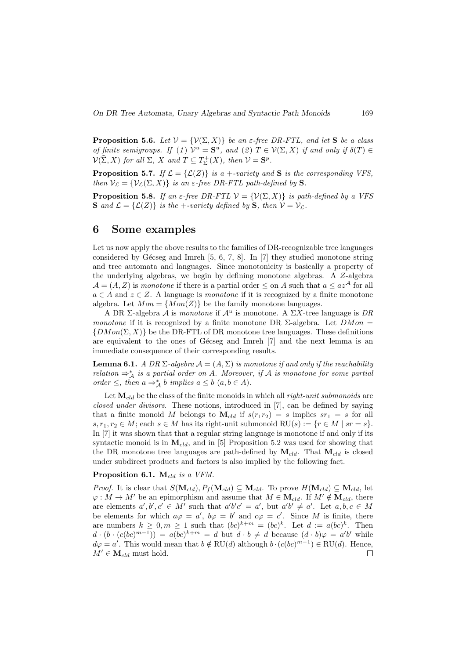On DR Tree Automata, Unary Algebras and Syntactic Path Monoids 169

**Proposition 5.6.** Let  $V = \{V(\Sigma, X)\}\$ be an  $\varepsilon$ -free DR-FTL, and let **S** be a class of finite semigroups. If (1)  $\mathcal{V}^u = \mathbf{S}^u$ , and (2)  $T \in \mathcal{V}(\Sigma, X)$  if and only if  $\delta(T) \in$  $\mathcal{V}(\widehat{\Sigma}, X)$  for all  $\Sigma$ , X and  $T \subseteq T_{\Sigma}^+(X)$ , then  $\mathcal{V} = \mathbf{S}^p$ .

**Proposition 5.7.** If  $\mathcal{L} = {\{\mathcal{L}(Z)\}}$  is a +-variety and **S** is the corresponding VFS, then  $V_{\mathcal{L}} = \{V_{\mathcal{L}}(\Sigma, X)\}\$ is an  $\varepsilon$ -free DR-FTL path-defined by **S**.

**Proposition 5.8.** If an  $\varepsilon$ -free DR-FTL  $V = \{V(\Sigma, X)\}\$ is path-defined by a VFS **S** and  $\mathcal{L} = \{ \mathcal{L}(Z) \}$  is the +-variety defined by **S**, then  $\mathcal{V} = \mathcal{V}_\mathcal{L}$ .

### 6 Some examples

Let us now apply the above results to the families of DR-recognizable tree languages considered by Gécseg and Imreh  $[5, 6, 7, 8]$ . In  $[7]$  they studied monotone string and tree automata and languages. Since monotonicity is basically a property of the underlying algebras, we begin by defining monotone algebras. A Z-algebra  $\mathcal{A} = (A, Z)$  is monotone if there is a partial order  $\leq$  on A such that  $a \leq az^{\mathcal{A}}$  for all  $a \in A$  and  $z \in Z$ . A language is monotone if it is recognized by a finite monotone algebra. Let  $Mon = \{Mon(Z)\}\$ be the family monotone languages.

A DR Σ-algebra A is monotone if  $\mathcal{A}^u$  is monotone. A  $\Sigma X$ -tree language is DR monotone if it is recognized by a finite monotone DR  $\Sigma$ -algebra. Let  $DMon =$  $\{DMon(\Sigma, X)\}\$ be the DR-FTL of DR monotone tree languages. These definitions are equivalent to the ones of Gécseg and Imreh [7] and the next lemma is an immediate consequence of their corresponding results.

**Lemma 6.1.** A DR  $\Sigma$ -algebra  $\mathcal{A} = (A, \Sigma)$  is monotone if and only if the reachability relation  $\Rightarrow^*_{\mathcal{A}}$  is a partial order on A. Moreover, if A is monotone for some partial order  $\leq$ , then  $a \Rightarrow_A^* b$  implies  $a \leq b$   $(a, b \in A)$ .

Let  $\mathbf{M}_{cld}$  be the class of the finite monoids in which all right-unit submonoids are closed under divisors. These notions, introduced in [7], can be defined by saying that a finite monoid M belongs to  $\mathbf{M}_{cld}$  if  $s(r_1r_2) = s$  implies  $sr_1 = s$  for all  $s, r_1, r_2 \in M$ ; each  $s \in M$  has its right-unit submonoid  $RU(s) := \{r \in M \mid sr = s\}.$ In [7] it was shown that that a regular string language is monotone if and only if its syntactic monoid is in  $M_{cld}$ , and in [5] Proposition 5.2 was used for showing that the DR monotone tree languages are path-defined by  $\mathbf{M}_{cld}$ . That  $\mathbf{M}_{cld}$  is closed under subdirect products and factors is also implied by the following fact.

### Proposition 6.1.  $M_{cld}$  is a VFM.

*Proof.* It is clear that  $S(\mathbf{M}_{cld}), P_f(\mathbf{M}_{cld}) \subseteq \mathbf{M}_{cld}$ . To prove  $H(\mathbf{M}_{cld}) \subseteq \mathbf{M}_{cld}$ , let  $\varphi: M \to M'$  be an epimorphism and assume that  $M \in \mathbf{M}_{cld}$ . If  $M' \notin \mathbf{M}_{cld}$ , there are elements  $a', b', c' \in M'$  such that  $a'b'c' = a'$ , but  $a'b' \neq a'$ . Let  $a, b, c \in M$ be elements for which  $a\varphi = a'$ ,  $b\varphi = b'$  and  $c\varphi = c'$ . Since M is finite, there are numbers  $k \geq 0, m \geq 1$  such that  $(bc)^{k+m} = (bc)^k$ . Let  $d := a(bc)^k$ . Then  $d \cdot (b \cdot (c(bc)^{m-1})) = a(bc)^{k+m} = d$  but  $d \cdot b \neq d$  because  $(d \cdot b)\varphi = a'b'$  while  $d\varphi = a'$ . This would mean that  $b \notin \text{RU}(d)$  although  $b \cdot (c(bc)^{m-1}) \in \text{RU}(d)$ . Hence,  $M' \in \mathbf{M}_{cld}$  must hold.  $\Box$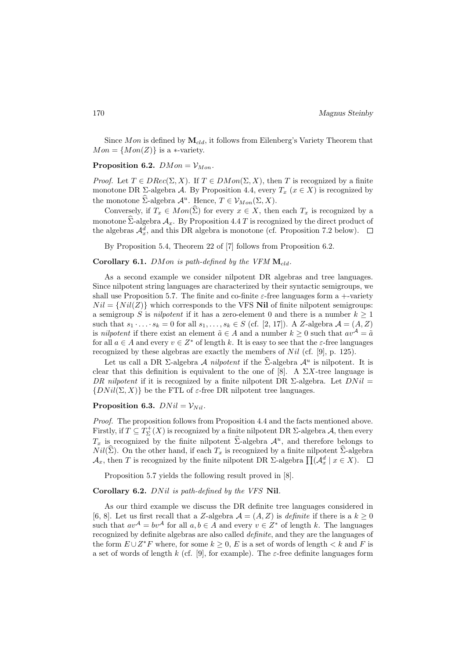Since  $Mon$  is defined by  $\mathbf{M}_{cld}$ , it follows from Eilenberg's Variety Theorem that  $Mon = \{Mon(Z)\}\$ is a ∗-variety.

#### Proposition 6.2.  $DMon = V_{Mon}$ .

*Proof.* Let  $T \in DRec(\Sigma, X)$ . If  $T \in DMon(\Sigma, X)$ , then T is recognized by a finite monotone DR Σ-algebra A. By Proposition 4.4, every  $T_x$  ( $x \in X$ ) is recognized by the monotone  $\widehat{\Sigma}$ -algebra  $\mathcal{A}^u$ . Hence,  $T \in \mathcal{V}_{Mon}(\Sigma, X)$ .

Conversely, if  $T_x \in Mon(\hat{\Sigma})$  for every  $x \in X$ , then each  $T_x$  is recognized by a monotone  $\hat{\Sigma}$ -algebra  $\mathcal{A}_x$ . By Proposition 4.4 T is recognized by the direct product of the algebras  $\mathcal{A}_x^d$ , and this DR algebra is monotone (cf. Proposition 7.2 below).

By Proposition 5.4, Theorem 22 of [7] follows from Proposition 6.2.

#### Corollary 6.1. DMon is path-defined by the VFM  $\mathbf{M}_{cld}$ .

As a second example we consider nilpotent DR algebras and tree languages. Since nilpotent string languages are characterized by their syntactic semigroups, we shall use Proposition 5.7. The finite and co-finite  $\varepsilon$ -free languages form a +-variety  $Nil = \{Nil(Z)\}\$  which corresponds to the VFS **Nil** of finite nilpotent semigroups: a semigroup S is *nilpotent* if it has a zero-element 0 and there is a number  $k \geq 1$ such that  $s_1 \cdot \ldots \cdot s_k = 0$  for all  $s_1, \ldots, s_k \in S$  (cf. [2, 17]). A Z-algebra  $\mathcal{A} = (A, Z)$ is nilpotent if there exist an element  $\tilde{a} \in A$  and a number  $k \geq 0$  such that  $av^A = \tilde{a}$ for all  $a \in A$  and every  $v \in Z^*$  of length k. It is easy to see that the  $\varepsilon$ -free languages recognized by these algebras are exactly the members of Nil (cf. [9], p. 125).

Let us call a DR  $\Sigma$ -algebra  $\mathcal A$  nilpotent if the  $\hat \Sigma$ -algebra  $\mathcal A^u$  is nilpotent. It is clear that this definition is equivalent to the one of [8]. A  $\Sigma X$ -tree language is DR nilpotent if it is recognized by a finite nilpotent DR  $\Sigma$ -algebra. Let  $DNil =$  $\{DNil(\Sigma, X)\}\$ be the FTL of  $\varepsilon$ -free DR nilpotent tree languages.

#### Proposition 6.3.  $DNil = V_{Nil}$ .

Proof. The proposition follows from Proposition 4.4 and the facts mentioned above. Firstly, if  $T \subseteq T_{\Sigma}^+(X)$  is recognized by a finite nilpotent DR  $\Sigma$ -algebra A, then every  $T_x$  is recognized by the finite nilpotent  $\hat{\Sigma}$ -algebra  $\mathcal{A}^u$ , and therefore belongs to  $Nil(\hat{\Sigma})$ . On the other hand, if each  $T_x$  is recognized by a finite nilpotent  $\hat{\Sigma}$ -algebra  $\mathcal{A}_x$ , then T is recognized by the finite nilpotent DR  $\Sigma$ -algebra  $\prod (\mathcal{A}_x^d \mid x \in X)$ .

Proposition 5.7 yields the following result proved in [8].

#### Corollary 6.2. DNil is path-defined by the VFS Nil.

As our third example we discuss the DR definite tree languages considered in [6, 8]. Let us first recall that a Z-algebra  $\mathcal{A} = (A, Z)$  is definite if there is a  $k \geq 0$ such that  $av^{\mathcal{A}} = bv^{\mathcal{A}}$  for all  $a, b \in A$  and every  $v \in Z^*$  of length k. The languages recognized by definite algebras are also called definite, and they are the languages of the form  $E \cup Z^*F$  where, for some  $k \geq 0$ , E is a set of words of length  $\lt k$  and F is a set of words of length k (cf. [9], for example). The  $\varepsilon$ -free definite languages form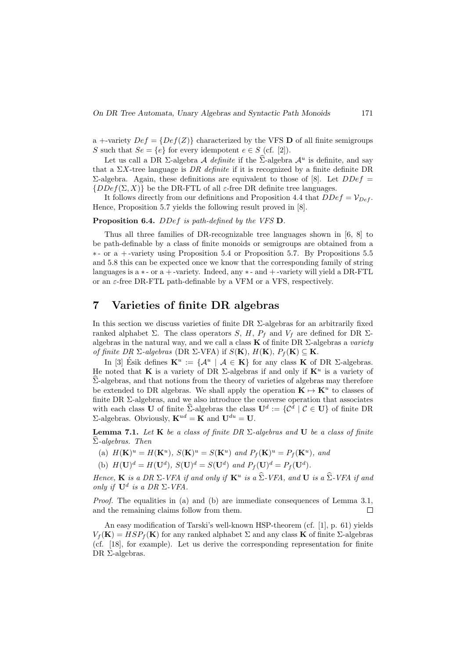a +-variety  $Def = \{Def(Z)\}\$ characterized by the VFS **D** of all finite semigroups S such that  $Se = \{e\}$  for every idempotent  $e \in S$  (cf. [2]).

Let us call a DR  $\Sigma$ -algebra  $\mathcal A$  definite if the  $\Sigma$ -algebra  $\mathcal A^u$  is definite, and say that a  $\Sigma X$ -tree language is DR definite if it is recognized by a finite definite DR  $\Sigma$ -algebra. Again, these definitions are equivalent to those of [8]. Let  $DDef =$  ${DDef(\Sigma, X)}$  be the DR-FTL of all  $\varepsilon$ -free DR definite tree languages.

It follows directly from our definitions and Proposition 4.4 that  $DDef = V_{Def}$ . Hence, Proposition 5.7 yields the following result proved in [8].

#### Proposition 6.4. DDef is path-defined by the VFS D.

Thus all three families of DR-recognizable tree languages shown in [6, 8] to be path-definable by a class of finite monoids or semigroups are obtained from a ∗ - or a + -variety using Proposition 5.4 or Proposition 5.7. By Propositions 5.5 and 5.8 this can be expected once we know that the corresponding family of string languages is  $a * - or a + -variety$ . Indeed, any  $* - and + -variety$  will yield a DR-FTL or an  $\varepsilon$ -free DR-FTL path-definable by a VFM or a VFS, respectively.

# 7 Varieties of finite DR algebras

In this section we discuss varieties of finite DR  $\Sigma$ -algebras for an arbitrarily fixed ranked alphabet Σ. The class operators S, H,  $P_f$  and  $V_f$  are defined for DR Σalgebras in the natural way, and we call a class  $\bf{K}$  of finite DR  $\Sigma$ -algebras a variety of finite DR  $\Sigma$ -algebras (DR  $\Sigma$ -VFA) if  $S(K)$ ,  $H(K)$ ,  $P_f(K) \subseteq K$ .

In [3] Ésik defines  $\mathbf{K}^u := \{ \mathcal{A}^u \mid \mathcal{A} \in \mathbf{K} \}$  for any class **K** of DR  $\Sigma$ -algebras. He noted that **K** is a variety of DR  $\Sigma$ -algebras if and only if  $\mathbf{K}^u$  is a variety of Σ-algebras, and that notions from the theory of varieties of algebras may therefore <sup>b</sup> be extended to DR algebras. We shall apply the operation  $\mathbf{K} \mapsto \mathbf{K}^u$  to classes of finite  $\text{DR}$   $\Sigma$ -algebras, and we also introduce the converse operation that associates with each class **U** of finite  $\hat{\Sigma}$ -algebras the class  $\mathbf{U}^d := \{ \mathcal{C}^d \mid \mathcal{C} \in \mathbf{U} \}$  of finite DR Σ-algebras. Obviously,  $\mathbf{K}^{ud} = \mathbf{K}$  and  $\mathbf{U}^{du} = \mathbf{U}$ .

**Lemma 7.1.** Let **K** be a class of finite DR  $\Sigma$ -algebras and **U** be a class of finite  $\Sigma$ -algebras. Then

- (a)  $H(\mathbf{K})^u = H(\mathbf{K}^u)$ ,  $S(\mathbf{K})^u = S(\mathbf{K}^u)$  and  $P_f(\mathbf{K})^u = P_f(\mathbf{K}^u)$ , and
- (b)  $H(U)^d = H(U^d)$ ,  $S(U)^d = S(U^d)$  and  $P_f(U)^d = P_f(U^d)$ .

Hence, **K** is a DR  $\Sigma$ -VFA if and only if  $\mathbf{K}^u$  is a  $\widehat{\Sigma}$ -VFA, and **U** is a  $\widehat{\Sigma}$ -VFA if and only if  $\mathbf{U}^d$  is a DR  $\Sigma$ -VFA.

Proof. The equalities in (a) and (b) are immediate consequences of Lemma 3.1, and the remaining claims follow from them.  $\Box$ 

An easy modification of Tarski's well-known HSP-theorem (cf. [1], p. 61) yields  $V_f(\mathbf{K}) = HSP_f(\mathbf{K})$  for any ranked alphabet  $\Sigma$  and any class **K** of finite  $\Sigma$ -algebras (cf. [18], for example). Let us derive the corresponding representation for finite DR Σ-algebras.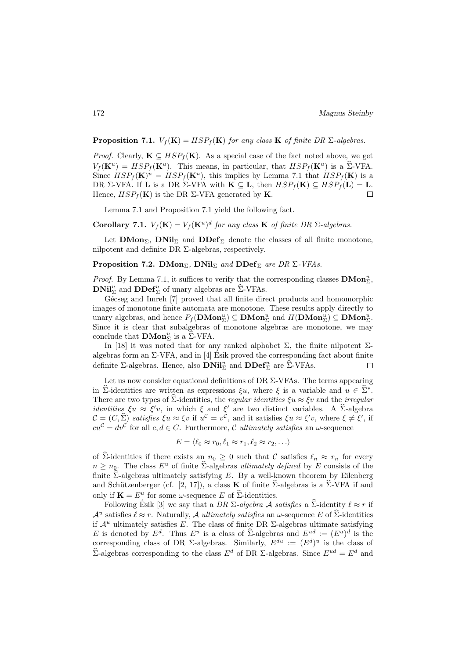#### **Proposition 7.1.**  $V_f(\mathbf{K}) = HSP_f(\mathbf{K})$  for any class **K** of finite DR  $\Sigma$ -algebras.

*Proof.* Clearly,  $\mathbf{K} \subseteq HSP_f(\mathbf{K})$ . As a special case of the fact noted above, we get  $V_f(\mathbf{K}^u) = HSP_f(\mathbf{K}^u)$ . This means, in particular, that  $HSP_f(\mathbf{K}^u)$  is a  $\hat{\Sigma}$ -VFA. Since  $HSP_f(\mathbf{K})^u = HSP_f(\mathbf{K}^u)$ , this implies by Lemma 7.1 that  $HSP_f(\mathbf{K})$  is a DR Σ-VFA. If **L** is a DR Σ-VFA with  $\mathbf{K} \subseteq \mathbf{L}$ , then  $HSP_f(\mathbf{K}) \subseteq HSP_f(\mathbf{L}) = \mathbf{L}$ . Hence,  $HSP_f(\mathbf{K})$  is the DR  $\Sigma$ -VFA generated by **K**.  $\Box$ 

Lemma 7.1 and Proposition 7.1 yield the following fact.

**Corollary 7.1.**  $V_f(\mathbf{K}) = V_f(\mathbf{K}^u)^d$  for any class **K** of finite DR  $\Sigma$ -algebras.

Let  $\text{DMon}_{\Sigma}$ ,  $\text{DNil}_{\Sigma}$  and  $\text{DDef}_{\Sigma}$  denote the classes of all finite monotone, nilpotent and definite DR Σ-algebras, respectively.

#### Proposition 7.2. DMon<sub>Σ</sub>, DNil<sub>Σ</sub> and DDef<sub>Σ</sub> are DR Σ-VFAs.

*Proof.* By Lemma 7.1, it suffices to verify that the corresponding classes  $\textbf{DMon}^u_{\Sigma}$ ,  $\text{DNil}_{\Sigma}^u$  and  $\text{DDef}_{\Sigma}^u$  of unary algebras are  $\widehat{\Sigma}$ -VFAs.

Gécseg and Imreh [7] proved that all finite direct products and homomorphic images of monotone finite automata are monotone. These results apply directly to unary algebras, and hence  $P_f(\mathbf{DMon}_{\Sigma}^u) \subseteq \mathbf{DMon}_{\Sigma}^u$  and  $H(\mathbf{DMon}_{\Sigma}^u) \subseteq \mathbf{DMon}_{\Sigma}^u$ . Since it is clear that subalgebras of monotone algebras are monotone, we may conclude that  $\mathbf{DMon}_{\Sigma}^u$  is a  $\widehat{\Sigma}$ -VFA.

In [18] it was noted that for any ranked alphabet  $\Sigma$ , the finite nilpotent  $\Sigma$ algebras form an  $\Sigma$ -VFA, and in [4] Esik proved the corresponding fact about finite definite  $\Sigma$ -algebras. Hence, also  $\text{DNil}_{\Sigma}^u$  and  $\text{DDef}_{\Sigma}^u$  are  $\widehat{\Sigma}$ -VFAs.  $\Box$ 

Let us now consider equational definitions of DR  $\Sigma$ -VFAs. The terms appearing in  $\widehat{\Sigma}$ -identities are written as expressions  $\xi u$ , where  $\xi$  is a variable and  $u \in \widehat{\Sigma}^*$ . There are two types of  $\Sigma$ -identities, the *regular identities*  $\xi u \approx \xi v$  and the *irregular identities*  $\xi u \approx \xi' v$ , in which  $\xi$  and  $\xi'$  are two distinct variables. A  $\hat{\Sigma}$ -algebra  $\mathcal{C} = (C, \hat{\Sigma})$  satisfies  $\xi u \approx \xi v$  if  $u^{\mathcal{C}} = v^{\mathcal{C}}$ , and it satisfies  $\xi u \approx \xi' v$ , where  $\xi \neq \xi'$ , if  $cu^{\mathcal{C}} = dv^{\mathcal{C}}$  for all  $c, d \in C$ . Furthermore, C ultimately satisfies an  $\omega$ -sequence

$$
E = \langle \ell_0 \approx r_0, \ell_1 \approx r_1, \ell_2 \approx r_2, \ldots \rangle
$$

of  $\hat{\Sigma}$ -identities if there exists an  $n_0 \geq 0$  such that C satisfies  $\ell_n \approx r_n$  for every  $n \geq n_0$ . The class  $E^u$  of finite  $\hat{\Sigma}$ -algebras *ultimately defined* by E consists of the finite  $\Sigma$ -algebras ultimately satisfying E. By a well-known theorem by Eilenberg and Schützenberger (cf. [2, 17]), a class **K** of finite  $\Sigma$ -algebras is a  $\Sigma$ -VFA if and only if  $\mathbf{K} = E^u$  for some  $\omega$ -sequence E of  $\hat{\Sigma}$ -identities.

Following Esik [3] we say that a DR  $\Sigma$ -algebra A satisfies a  $\widehat{\Sigma}$ -identity  $\ell \approx r$  if  $\mathcal{A}^u$  satisfies  $\ell \approx r$ . Naturally,  $\mathcal{A}$  ultimately satisfies an  $\omega$ -sequence E of  $\widehat{\Sigma}$ -identities if  $\mathcal{A}^u$  ultimately satisfies E. The class of finite DR  $\Sigma$ -algebras ultimate satisfying E is denoted by  $E^d$ . Thus  $E^u$  is a class of  $\hat{\Sigma}$ -algebras and  $E^{ud} := (E^u)^d$  is the corresponding class of DR  $\Sigma$ -algebras. Similarly,  $E^{du} := (E^d)^u$  is the class of  $\widehat{\Sigma}$ -algebras corresponding to the class  $E^d$  of DR Σ-algebras. Since  $E^{ud} = E^d$  and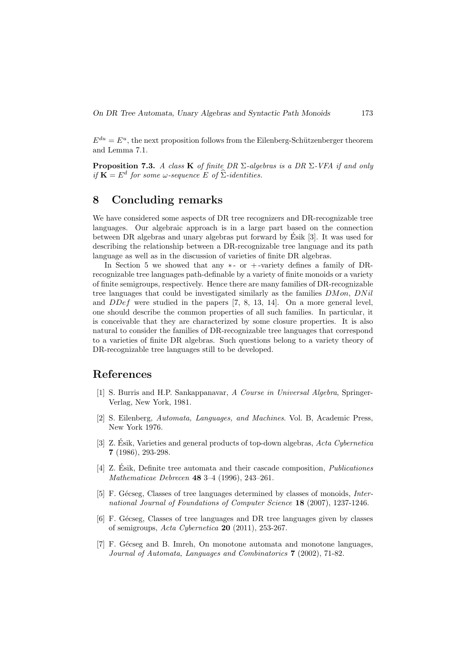$E^{du} = E^u$ , the next proposition follows from the Eilenberg-Schützenberger theorem and Lemma 7.1.

**Proposition 7.3.** A class **K** of finite DR  $\Sigma$ -algebras is a DR  $\Sigma$ -VFA if and only if  $\mathbf{K} = E^d$  for some  $\omega$ -sequence E of  $\widehat{\Sigma}$ -identities.

# 8 Concluding remarks

We have considered some aspects of DR tree recognizers and DR-recognizable tree languages. Our algebraic approach is in a large part based on the connection between DR algebras and unary algebras put forward by Esik [3]. It was used for ´ describing the relationship between a DR-recognizable tree language and its path language as well as in the discussion of varieties of finite DR algebras.

In Section 5 we showed that any  $\ast$ - or  $+$ -variety defines a family of DRrecognizable tree languages path-definable by a variety of finite monoids or a variety of finite semigroups, respectively. Hence there are many families of DR-recognizable tree languages that could be investigated similarly as the families  $DMon, DNil$ and DDef were studied in the papers [7, 8, 13, 14]. On a more general level, one should describe the common properties of all such families. In particular, it is conceivable that they are characterized by some closure properties. It is also natural to consider the families of DR-recognizable tree languages that correspond to a varieties of finite DR algebras. Such questions belong to a variety theory of DR-recognizable tree languages still to be developed.

# References

- [1] S. Burris and H.P. Sankappanavar, A Course in Universal Algebra, Springer-Verlag, New York, 1981.
- [2] S. Eilenberg, Automata, Languages, and Machines. Vol. B, Academic Press, New York 1976.
- [3] Z. Ésik, Varieties and general products of top-down algebras,  $Acta$  Cybernetica 7 (1986), 293-298.
- [4] Z. Esik, Definite tree automata and their cascade composition, *Publicationes* Mathematicae Debrecen 48 3–4 (1996), 243–261.
- [5] F. Gécseg, Classes of tree languages determined by classes of monoids, *Inter*national Journal of Foundations of Computer Science 18 (2007), 1237-1246.
- [6] F. G´ecseg, Classes of tree languages and DR tree languages given by classes of semigroups, Acta Cybernetica 20 (2011), 253-267.
- [7] F. Gécseg and B. Imreh, On monotone automata and monotone languages, Journal of Automata, Languages and Combinatorics 7 (2002), 71-82.